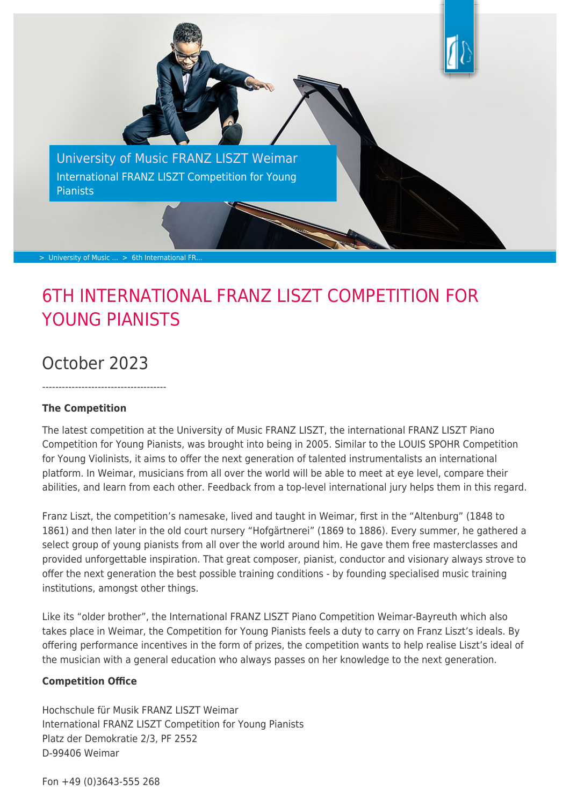

# 6TH INTERNATIONAL FRANZ LISZT COMPETITION FOR YOUNG PIANISTS

## October 2023

--------------------------------------

#### **The Competition**

The latest competition at the University of Music FRANZ LISZT, the international FRANZ LISZT Piano Competition for Young Pianists, was brought into being in 2005. Similar to the LOUIS SPOHR Competition for Young Violinists, it aims to offer the next generation of talented instrumentalists an international platform. In Weimar, musicians from all over the world will be able to meet at eye level, compare their abilities, and learn from each other. Feedback from a top-level international jury helps them in this regard.

Franz Liszt, the competition's namesake, lived and taught in Weimar, first in the "Altenburg" (1848 to 1861) and then later in the old court nursery "Hofgärtnerei" (1869 to 1886). Every summer, he gathered a select group of young pianists from all over the world around him. He gave them free masterclasses and provided unforgettable inspiration. That great composer, pianist, conductor and visionary always strove to offer the next generation the best possible training conditions - by founding specialised music training institutions, amongst other things.

Like its "older brother", the International FRANZ LISZT Piano Competition Weimar-Bayreuth which also takes place in Weimar, the Competition for Young Pianists feels a duty to carry on Franz Liszt's ideals. By offering performance incentives in the form of prizes, the competition wants to help realise Liszt's ideal of the musician with a general education who always passes on her knowledge to the next generation.

#### **Competition Office**

Hochschule für Musik FRANZ LISZT Weimar International FRANZ LISZT Competition for Young Pianists Platz der Demokratie 2/3, PF 2552 D-99406 Weimar

Fon +49 (0)3643-555 268